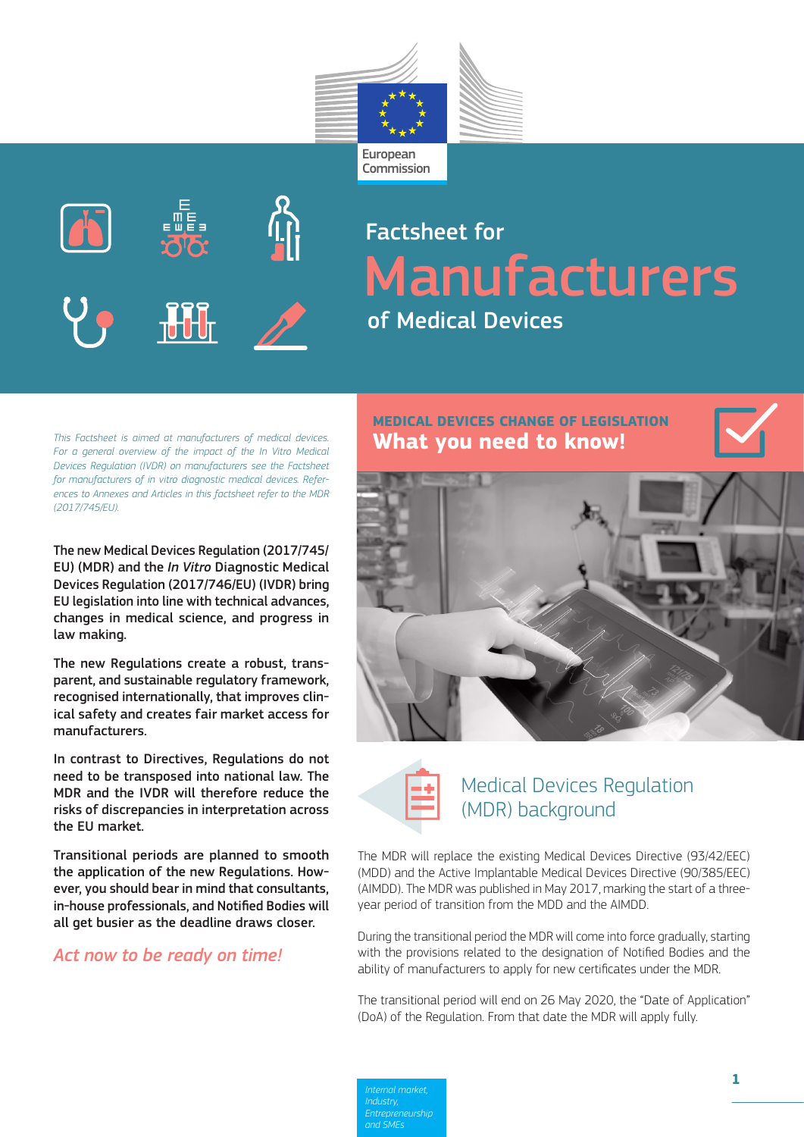



## Factsheet for Manufacturers of Medical Devices

*This Factsheet is aimed at manufacturers of medical devices. For a general overview of the impact of the In Vitro Medical Devices Regulation (IVDR) on manufacturers see the Factsheet for manufacturers of in vitro diagnostic medical devices. References to Annexes and Articles in this factsheet refer to the MDR (2017/745/EU).*

The new Medical Devices Regulation (2017/745/ EU) (MDR) and the *In Vitro* Diagnostic Medical Devices Regulation (2017/746/EU) (IVDR) bring EU legislation into line with technical advances, changes in medical science, and progress in law making.

The new Regulations create a robust, transparent, and sustainable regulatory framework, recognised internationally, that improves clinical safety and creates fair market access for manufacturers.

In contrast to Directives, Regulations do not need to be transposed into national law. The MDR and the IVDR will therefore reduce the risks of discrepancies in interpretation across the EU market.

Transitional periods are planned to smooth the application of the new Regulations. However, you should bear in mind that consultants, in-house professionals, and Notified Bodies will all get busier as the deadline draws closer.

### *Act now to be ready on time!*

# **MEDICAL DEVICES CHANGE OF LEGISLATION**





### Medical Devices Regulation (MDR) background

The MDR will replace the existing Medical Devices Directive (93/42/EEC) (MDD) and the Active Implantable Medical Devices Directive (90/385/EEC) (AIMDD). The MDR was published in May 2017, marking the start of a threeyear period of transition from the MDD and the AIMDD.

During the transitional period the MDR will come into force gradually, starting with the provisions related to the designation of Notified Bodies and the ability of manufacturers to apply for new certificates under the MDR.

The transitional period will end on 26 May 2020, the "Date of Application" (DoA) of the Regulation. From that date the MDR will apply fully.

*Internal market, Industry, and SMEs*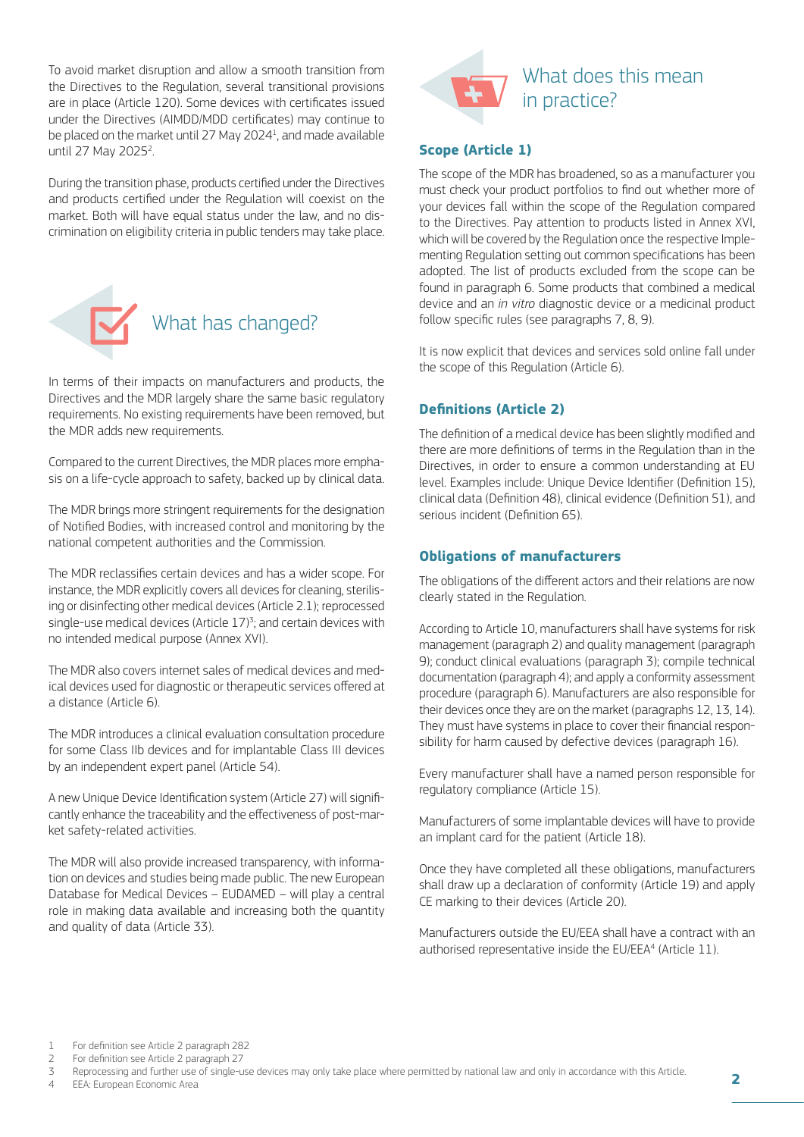To avoid market disruption and allow a smooth transition from the Directives to the Regulation, several transitional provisions are in place (Article 120). Some devices with certificates issued under the Directives (AIMDD/MDD certificates) may continue to be placed on the market until 27 May 2024<sup>1</sup>, and made available until 27 May 2025<sup>2</sup>. .

During the transition phase, products certified under the Directives and products certified under the Regulation will coexist on the market. Both will have equal status under the law, and no discrimination on eligibility criteria in public tenders may take place.



In terms of their impacts on manufacturers and products, the Directives and the MDR largely share the same basic regulatory requirements. No existing requirements have been removed, but the MDR adds new requirements.

Compared to the current Directives, the MDR places more emphasis on a life-cycle approach to safety, backed up by clinical data.

The MDR brings more stringent requirements for the designation of Notified Bodies, with increased control and monitoring by the national competent authorities and the Commission.

The MDR reclassifies certain devices and has a wider scope. For instance, the MDR explicitly covers all devices for cleaning, sterilising or disinfecting other medical devices (Article 2.1); reprocessed single-use medical devices (Article  $17$ )<sup>3</sup>; and certain devices with no intended medical purpose (Annex XVI).

The MDR also covers internet sales of medical devices and medical devices used for diagnostic or therapeutic services offered at a distance (Article 6).

The MDR introduces a clinical evaluation consultation procedure for some Class IIb devices and for implantable Class III devices by an independent expert panel (Article 54).

A new Unique Device Identification system (Article 27) will significantly enhance the traceability and the effectiveness of post-market safety-related activities.

The MDR will also provide increased transparency, with information on devices and studies being made public. The new European Database for Medical Devices – EUDAMED – will play a central role in making data available and increasing both the quantity and quality of data (Article 33).



### **Scope (Article 1)**

The scope of the MDR has broadened, so as a manufacturer you must check your product portfolios to find out whether more of your devices fall within the scope of the Regulation compared to the Directives. Pay attention to products listed in Annex XVI, which will be covered by the Regulation once the respective Implementing Regulation setting out common specifications has been adopted. The list of products excluded from the scope can be found in paragraph 6. Some products that combined a medical device and an *in vitro* diagnostic device or a medicinal product follow specific rules (see paragraphs 7, 8, 9).

It is now explicit that devices and services sold online fall under the scope of this Regulation (Article 6).

### **Definitions (Article 2)**

The definition of a medical device has been slightly modified and there are more definitions of terms in the Regulation than in the Directives, in order to ensure a common understanding at EU level. Examples include: Unique Device Identifier (Definition 15), clinical data (Definition 48), clinical evidence (Definition 51), and serious incident (Definition 65).

### **Obligations of manufacturers**

The obligations of the different actors and their relations are now clearly stated in the Regulation.

According to Article 10, manufacturers shall have systems for risk management (paragraph 2) and quality management (paragraph 9); conduct clinical evaluations (paragraph 3); compile technical documentation (paragraph 4); and apply a conformity assessment procedure (paragraph 6). Manufacturers are also responsible for their devices once they are on the market (paragraphs 12, 13, 14). They must have systems in place to cover their financial responsibility for harm caused by defective devices (paragraph 16).

Every manufacturer shall have a named person responsible for regulatory compliance (Article 15).

Manufacturers of some implantable devices will have to provide an implant card for the patient (Article 18).

Once they have completed all these obligations, manufacturers shall draw up a declaration of conformity (Article 19) and apply CE marking to their devices (Article 20).

Manufacturers outside the EU/EEA shall have a contract with an authorised representative inside the EU/EEA<sup>4</sup> (Article 11).

EEA: European Economic Area

<sup>1</sup> For definition see Article 2 paragraph 282<br>2 For definition see Article 2 paragraph 27

<sup>2</sup> For definition see Article 2 paragraph 27

<sup>3</sup> Reprocessing and further use of single-use devices may only take place where permitted by national law and only in accordance with this Article.<br>4 EEA: Euronean Economic Area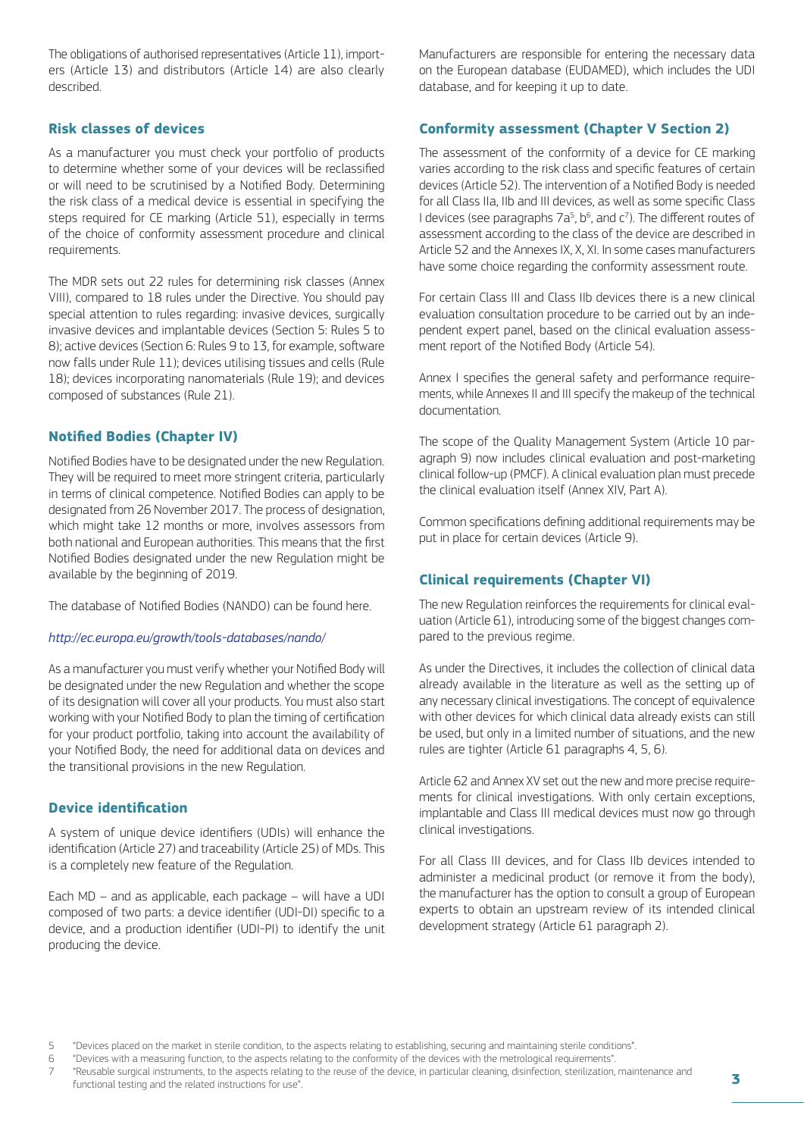The obligations of authorised representatives (Article 11), importers (Article 13) and distributors (Article 14) are also clearly described.

### **Risk classes of devices**

As a manufacturer you must check your portfolio of products to determine whether some of your devices will be reclassified or will need to be scrutinised by a Notified Body. Determining the risk class of a medical device is essential in specifying the steps required for CE marking (Article 51), especially in terms of the choice of conformity assessment procedure and clinical requirements.

The MDR sets out 22 rules for determining risk classes (Annex VIII), compared to 18 rules under the Directive. You should pay special attention to rules regarding: invasive devices, surgically invasive devices and implantable devices (Section 5: Rules 5 to 8); active devices (Section 6: Rules 9 to 13, for example, software now falls under Rule 11); devices utilising tissues and cells (Rule 18); devices incorporating nanomaterials (Rule 19); and devices composed of substances (Rule 21).

### **Notified Bodies (Chapter IV)**

Notified Bodies have to be designated under the new Regulation. They will be required to meet more stringent criteria, particularly in terms of clinical competence. Notified Bodies can apply to be designated from 26 November 2017. The process of designation, which might take 12 months or more, involves assessors from both national and European authorities. This means that the first Notified Bodies designated under the new Regulation might be available by the beginning of 2019.

The database of Notified Bodies (NANDO) can be found here.

#### *<http://ec.europa.eu/growth/tools-databases/nando/>*

As a manufacturer you must verify whether your Notified Body will be designated under the new Regulation and whether the scope of its designation will cover all your products. You must also start working with your Notified Body to plan the timing of certification for your product portfolio, taking into account the availability of your Notified Body, the need for additional data on devices and the transitional provisions in the new Regulation.

### **Device identification**

A system of unique device identifiers (UDIs) will enhance the identification (Article 27) and traceability (Article 25) of MDs. This is a completely new feature of the Regulation.

Each MD – and as applicable, each package – will have a UDI composed of two parts: a device identifier (UDI-DI) specific to a device, and a production identifier (UDI-PI) to identify the unit producing the device.

Manufacturers are responsible for entering the necessary data on the European database (EUDAMED), which includes the UDI database, and for keeping it up to date.

#### **Conformity assessment (Chapter V Section 2)**

The assessment of the conformity of a device for CE marking varies according to the risk class and specific features of certain devices (Article 52). The intervention of a Notified Body is needed for all Class IIa, IIb and III devices, as well as some specific Class I devices (see paragraphs  $7a^5$ ,  $b^6$ , and  $c^7$ ). The different routes of assessment according to the class of the device are described in Article 52 and the Annexes IX, X, XI. In some cases manufacturers have some choice regarding the conformity assessment route.

For certain Class III and Class IIb devices there is a new clinical evaluation consultation procedure to be carried out by an independent expert panel, based on the clinical evaluation assessment report of the Notified Body (Article 54).

Annex I specifies the general safety and performance requirements, while Annexes II and III specify the makeup of the technical documentation.

The scope of the Quality Management System (Article 10 paragraph 9) now includes clinical evaluation and post-marketing clinical follow-up (PMCF). A clinical evaluation plan must precede the clinical evaluation itself (Annex XIV, Part A).

Common specifications defining additional requirements may be put in place for certain devices (Article 9).

#### **Clinical requirements (Chapter VI)**

The new Regulation reinforces the requirements for clinical evaluation (Article 61), introducing some of the biggest changes compared to the previous regime.

As under the Directives, it includes the collection of clinical data already available in the literature as well as the setting up of any necessary clinical investigations. The concept of equivalence with other devices for which clinical data already exists can still be used, but only in a limited number of situations, and the new rules are tighter (Article 61 paragraphs 4, 5, 6).

Article 62 and Annex XV set out the new and more precise requirements for clinical investigations. With only certain exceptions, implantable and Class III medical devices must now go through clinical investigations.

For all Class III devices, and for Class IIb devices intended to administer a medicinal product (or remove it from the body), the manufacturer has the option to consult a group of European experts to obtain an upstream review of its intended clinical development strategy (Article 61 paragraph 2).

<sup>5</sup> "Devices placed on the market in sterile condition, to the aspects relating to establishing, securing and maintaining sterile conditions". 6 "Devices with a measuring function, to the aspects relating to the conformity of the devices with the metrological requirements".

<sup>7 &</sup>quot;Reusable surgical instruments, to the aspects relating to the reuse of the device, in particular cleaning, disinfection, sterilization, maintenance and

functional testing and the related instructions for use".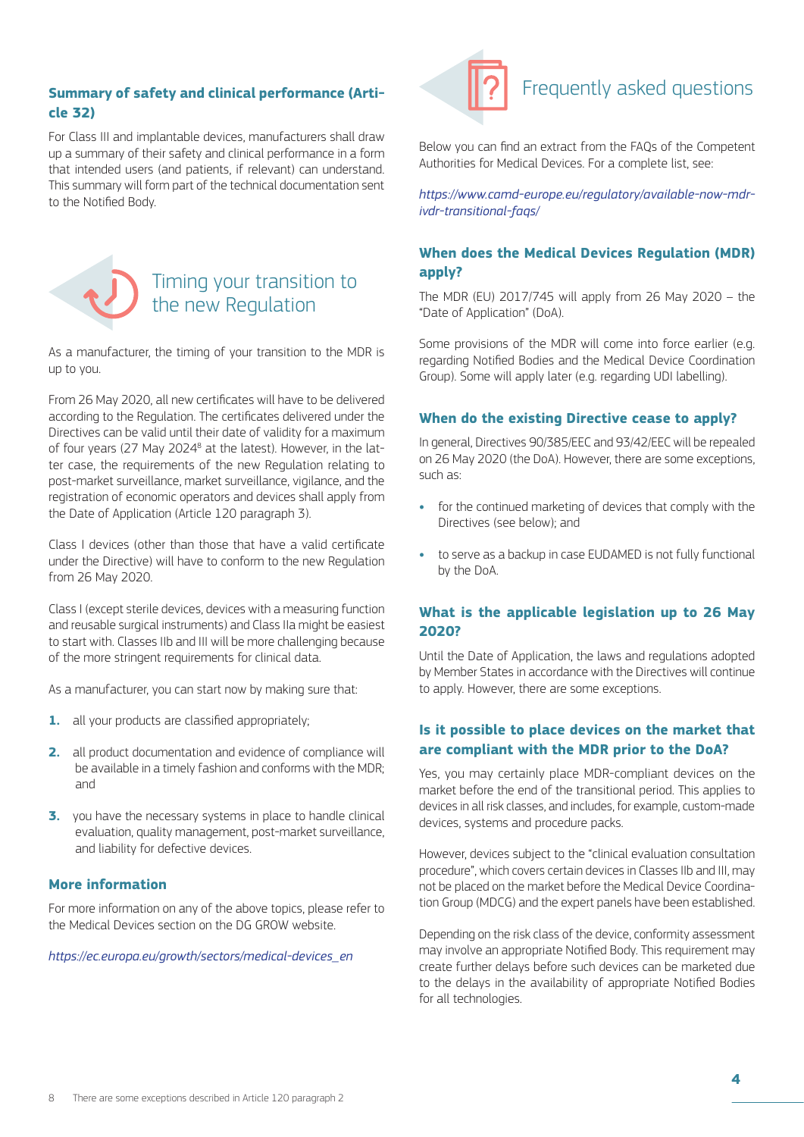### **Summary of safety and clinical performance (Article 32)**

For Class III and implantable devices, manufacturers shall draw up a summary of their safety and clinical performance in a form that intended users (and patients, if relevant) can understand. This summary will form part of the technical documentation sent to the Notified Body.



### Timing your transition to the new Regulation

As a manufacturer, the timing of your transition to the MDR is up to you.

From 26 May 2020, all new certificates will have to be delivered according to the Regulation. The certificates delivered under the Directives can be valid until their date of validity for a maximum of four years (27 May 2024<sup>8</sup> at the latest). However, in the latter case, the requirements of the new Regulation relating to post-market surveillance, market surveillance, vigilance, and the registration of economic operators and devices shall apply from the Date of Application (Article 120 paragraph 3).

Class I devices (other than those that have a valid certificate under the Directive) will have to conform to the new Regulation from 26 May 2020.

Class I (except sterile devices, devices with a measuring function and reusable surgical instruments) and Class IIa might be easiest to start with. Classes IIb and III will be more challenging because of the more stringent requirements for clinical data.

As a manufacturer, you can start now by making sure that:

- **1.** all your products are classified appropriately;
- **2.** all product documentation and evidence of compliance will be available in a timely fashion and conforms with the MDR; and
- **3.** you have the necessary systems in place to handle clinical evaluation, quality management, post-market surveillance, and liability for defective devices.

### **More information**

For more information on any of the above topics, please refer to the Medical Devices section on the DG GROW website.

*https://ec.europa.eu/growth/sectors/medical-devices\_en*



### Frequently asked questions

Below you can find an extract from the FAQs of the Competent Authorities for Medical Devices. For a complete list, see:

*[https://www.camd-europe.eu/regulatory/available-now-mdr](https://www.camd-europe.eu/regulatory/available-now-mdr-ivdr-transitional-faqs/)[ivdr-transitional-faqs/](https://www.camd-europe.eu/regulatory/available-now-mdr-ivdr-transitional-faqs/)*

### **When does the Medical Devices Regulation (MDR) apply?**

The MDR (EU) 2017/745 will apply from 26 May 2020 – the "Date of Application" (DoA).

Some provisions of the MDR will come into force earlier (e.g. regarding Notified Bodies and the Medical Device Coordination Group). Some will apply later (e.g. regarding UDI labelling).

### **When do the existing Directive cease to apply?**

In general, Directives 90/385/EEC and 93/42/EEC will be repealed on 26 May 2020 (the DoA). However, there are some exceptions, such as:

- **•** for the continued marketing of devices that comply with the Directives (see below); and
- **•** to serve as a backup in case EUDAMED is not fully functional by the DoA.

### **What is the applicable legislation up to 26 May 2020?**

Until the Date of Application, the laws and regulations adopted by Member States in accordance with the Directives will continue to apply. However, there are some exceptions.

### **Is it possible to place devices on the market that are compliant with the MDR prior to the DoA?**

Yes, you may certainly place MDR-compliant devices on the market before the end of the transitional period. This applies to devices in all risk classes, and includes, for example, custom-made devices, systems and procedure packs.

However, devices subject to the "clinical evaluation consultation procedure", which covers certain devices in Classes IIb and III, may not be placed on the market before the Medical Device Coordination Group (MDCG) and the expert panels have been established.

Depending on the risk class of the device, conformity assessment may involve an appropriate Notified Body. This requirement may create further delays before such devices can be marketed due to the delays in the availability of appropriate Notified Bodies for all technologies.